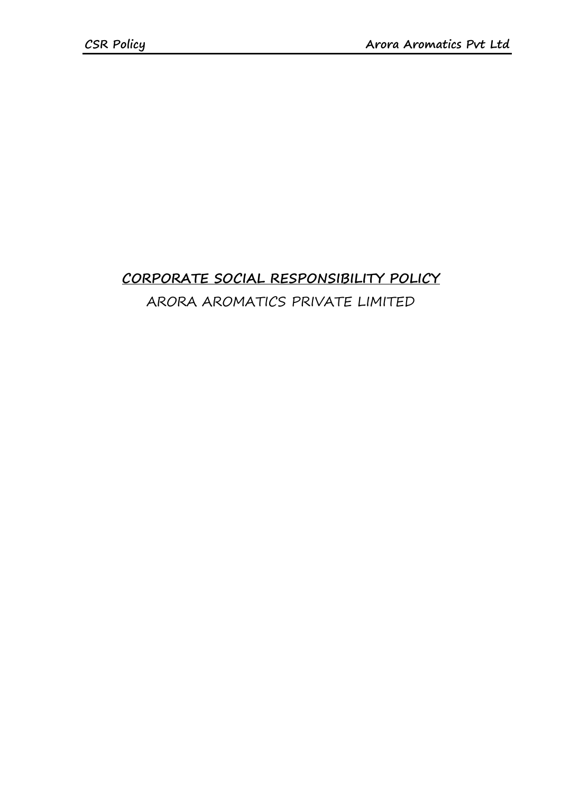## **CORPORATE SOCIAL RESPONSIBILITY POLICY** ARORA AROMATICS PRIVATE LIMITED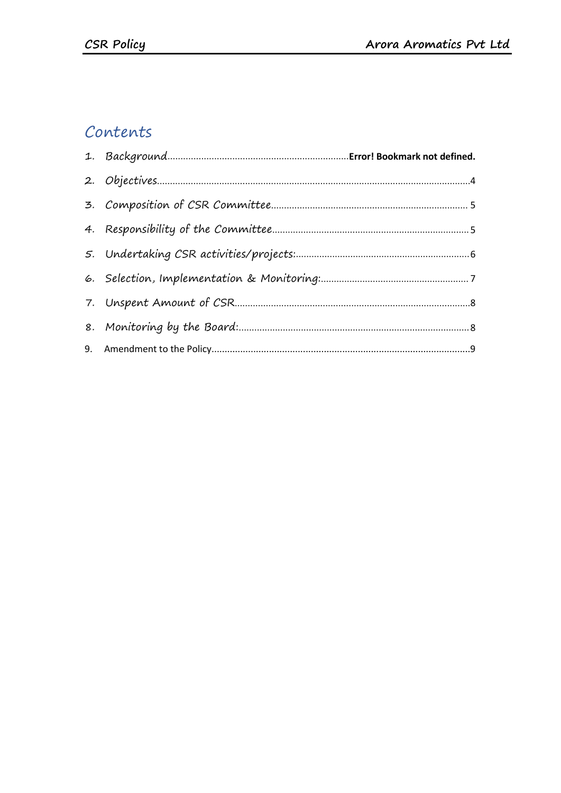## Contents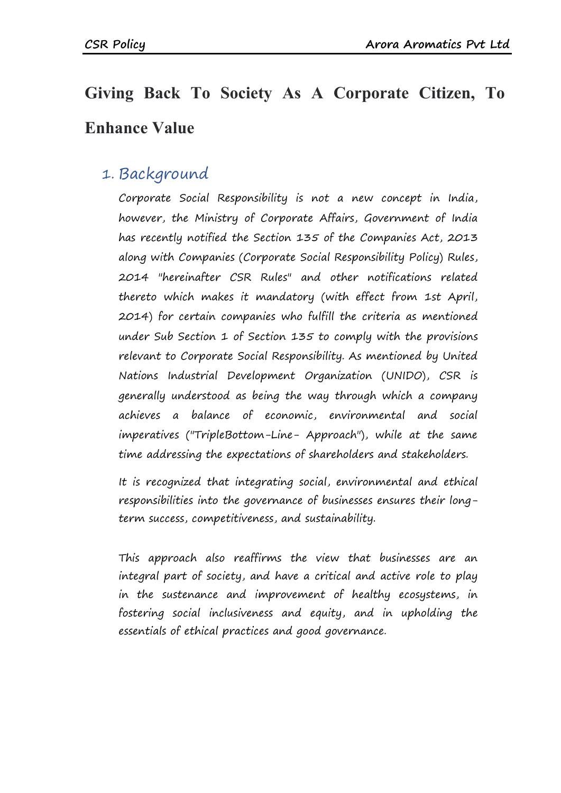# **Giving Back To Society As A Corporate Citizen,To Enhance Value**

#### 1. Background

Corporate Social Responsibility is not a new concept in India, however, the Ministry of Corporate Affairs, Government of India has recently notified the Section 135 of the Companies Act, 2013 along with Companies (Corporate Social Responsibility Policy) Rules, 2014 "hereinafter CSR Rules" and other notifications related thereto which makes it mandatory (with effect from 1st April, 2014) for certain companies who fulfill the criteria as mentioned under Sub Section 1 of Section 135 to comply with the provisions relevant to Corporate Social Responsibility. As mentioned by United Nations Industrial Development Organization (UNIDO), CSR is generally understood as being the way through which a company achieves a balance of economic, environmental and social imperatives ("TripleBottom-Line- Approach"), while at the same time addressing the expectations of shareholders and stakeholders.

It is recognized that integrating social, environmental and ethical responsibilities into the governance of businesses ensures their longterm success, competitiveness, and sustainability.

This approach also reaffirms the view that businesses are an integral part of society, and have a critical and active role to play in the sustenance and improvement of healthy ecosystems, in fostering social inclusiveness and equity, and in upholding the essentials of ethical practices and good governance.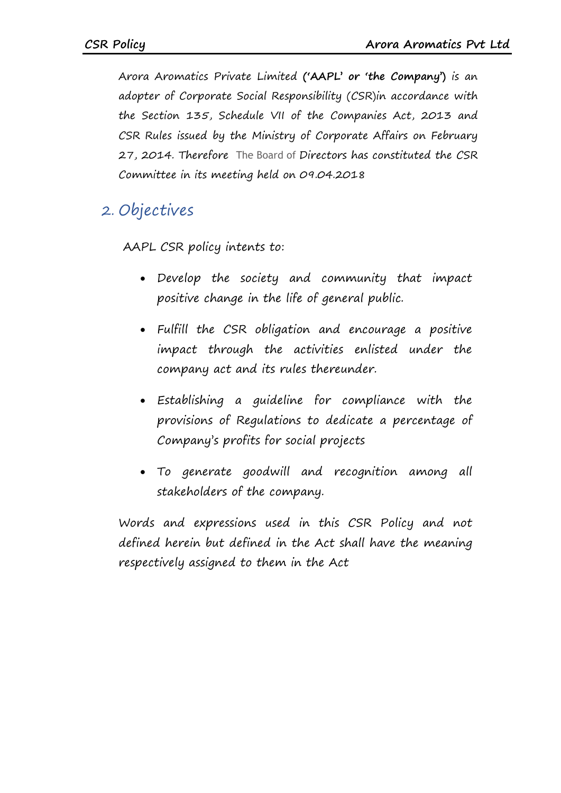Arora Aromatics Private Limited **('AAPL' or 'the Company')** is an adopter of Corporate Social Responsibility (CSR)in accordance with the Section 135, Schedule VII of the Companies Act, 2013 and CSR Rules issued by the Ministry of Corporate Affairs on February 27, 2014. Therefore The Board of Directors has constituted the CSR Committee in its meeting held on 09.04.2018

## <span id="page-3-0"></span>2. Objectives

AAPL CSR policy intents to:

- Develop the society and community that impact positive change in the life of general public.
- Fulfill the CSR obligation and encourage a positive impact through the activities enlisted under the company act and its rules thereunder.
- Establishing a guideline for compliance with the provisions of Regulations to dedicate a percentage of Company's profits for social projects
- To generate goodwill and recognition among all stakeholders of the company.

Words and expressions used in this CSR Policy and not defined herein but defined in the Act shall have the meaning respectively assigned to them in the Act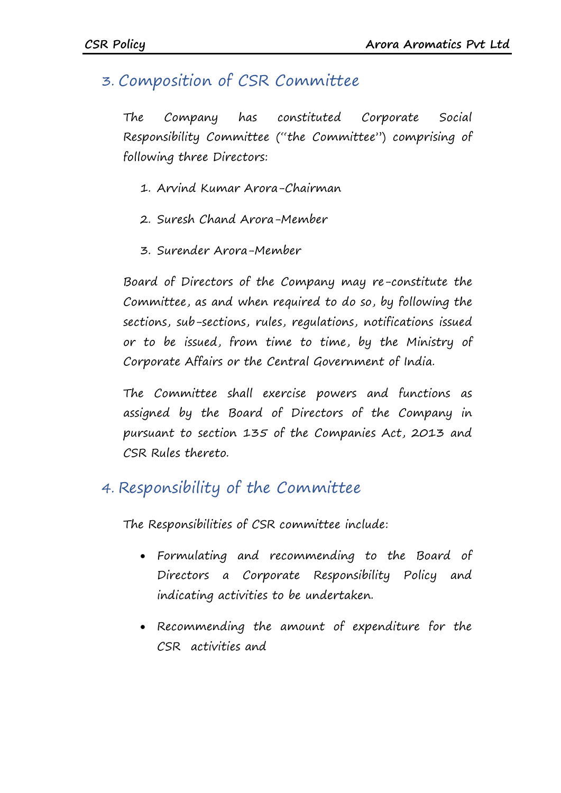### <span id="page-4-0"></span>3. Composition of CSR Committee

The Company has constituted Corporate Social Responsibility Committee ("the Committee") comprising of following three Directors:

- 1. Arvind Kumar Arora-Chairman
- 2. Suresh Chand Arora-Member
- 3. Surender Arora-Member

Board of Directors of the Company may re-constitute the Committee, as and when required to do so, by following the sections, sub-sections, rules, regulations, notifications issued or to be issued, from time to time, by the Ministry of Corporate Affairs or the Central Government of India.

The Committee shall exercise powers and functions as assigned by the Board of Directors of the Company in pursuant to section 135 of the Companies Act, 2013 and CSR Rules thereto.

#### <span id="page-4-1"></span>4. Responsibility of the Committee

The Responsibilities of CSR committee include:

- Formulating and recommending to the Board of Directors a Corporate Responsibility Policy and indicating activities to be undertaken.
- Recommending the amount of expenditure for the CSR activities and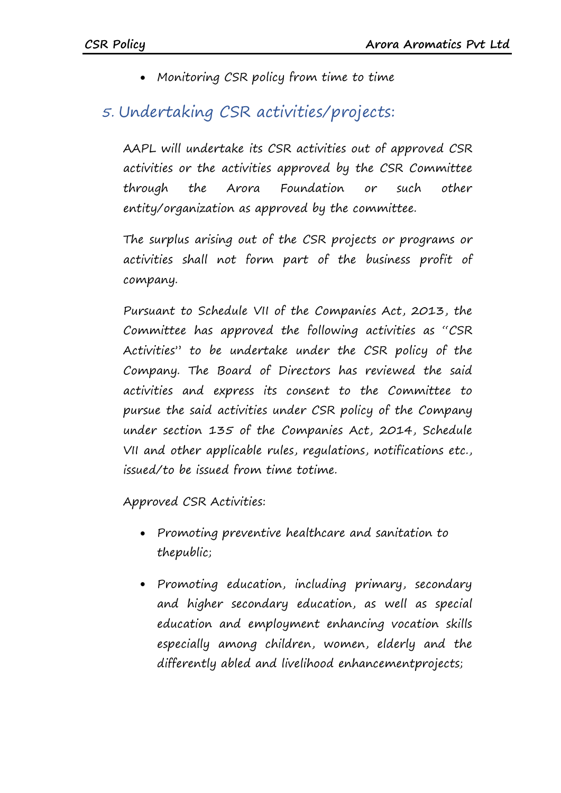• Monitoring CSR policy from time to time

## <span id="page-5-0"></span>5. Undertaking CSR activities/projects:

AAPL will undertake its CSR activities out of approved CSR activities or the activities approved by the CSR Committee through the Arora Foundation or such other entity/organization as approved by the committee.

The surplus arising out of the CSR projects or programs or activities shall not form part of the business profit of company.

Pursuant to Schedule VII of the Companies Act, 2013, the Committee has approved the following activities as "CSR Activities" to be undertake under the CSR policy of the Company. The Board of Directors has reviewed the said activities and express its consent to the Committee to pursue the said activities under CSR policy of the Company under section 135 of the Companies Act, 2014, Schedule VII and other applicable rules, regulations, notifications etc., issued/to be issued from time totime.

Approved CSR Activities:

- Promoting preventive healthcare and sanitation to thepublic;
- Promoting education, including primary, secondary and higher secondary education, as well as special education and employment enhancing vocation skills especially among children, women, elderly and the differently abled and livelihood enhancementprojects;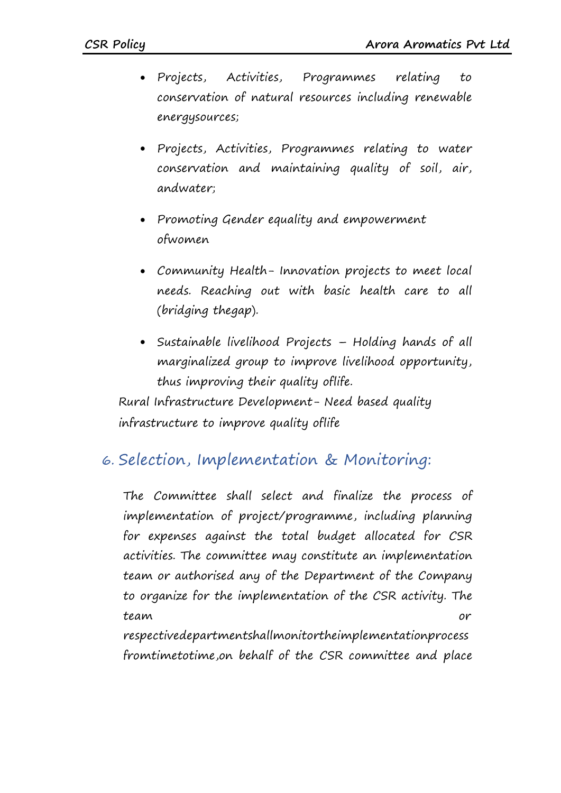- Projects, Activities, Programmes relating to conservation of natural resources including renewable energysources;
- Projects, Activities, Programmes relating to water conservation and maintaining quality of soil, air, andwater;
- Promoting Gender equality and empowerment ofwomen
- Community Health- Innovation projects to meet local needs. Reaching out with basic health care to all (bridging thegap).
- Sustainable livelihood Projects Holding hands of all marginalized group to improve livelihood opportunity, thus improving their quality oflife.

Rural Infrastructure Development- Need based quality infrastructure to improve quality oflife

#### <span id="page-6-0"></span>6. Selection, Implementation & Monitoring:

The Committee shall select and finalize the process of implementation of project/programme, including planning for expenses against the total budget allocated for CSR activities. The committee may constitute an implementation team or authorised any of the Department of the Company to organize for the implementation of the CSR activity. The team or

respectivedepartmentshallmonitortheimplementationprocess fromtimetotime,on behalf of the CSR committee and place